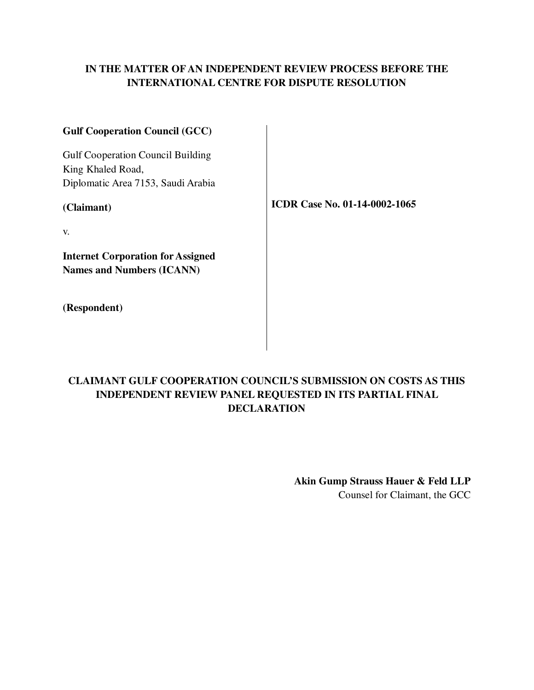## **IN THE MATTER OF AN INDEPENDENT REVIEW PROCESS BEFORE THE INTERNATIONAL CENTRE FOR DISPUTE RESOLUTION**

| <b>Gulf Cooperation Council (GCC)</b>                                        |                                      |
|------------------------------------------------------------------------------|--------------------------------------|
| <b>Gulf Cooperation Council Building</b><br>King Khaled Road,                |                                      |
| Diplomatic Area 7153, Saudi Arabia                                           |                                      |
| (Claimant)                                                                   | <b>ICDR Case No. 01-14-0002-1065</b> |
| V.                                                                           |                                      |
| <b>Internet Corporation for Assigned</b><br><b>Names and Numbers (ICANN)</b> |                                      |
|                                                                              |                                      |
| (Respondent)                                                                 |                                      |

# **CLAIMANT GULF COOPERATION COUNCIL'S SUBMISSION ON COSTS AS THIS INDEPENDENT REVIEW PANEL REQUESTED IN ITS PARTIAL FINAL DECLARATION**

**Akin Gump Strauss Hauer & Feld LLP**

Counsel for Claimant, the GCC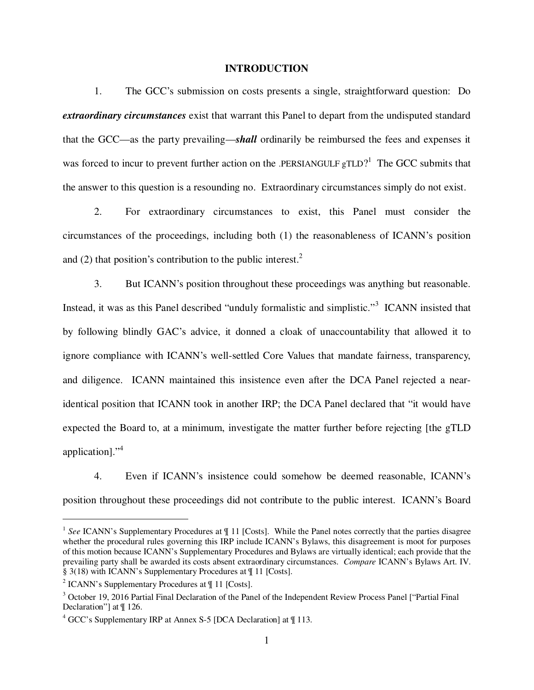#### **INTRODUCTION**

1. The GCC's submission on costs presents a single, straightforward question: Do *extraordinary circumstances* exist that warrant this Panel to depart from the undisputed standard that the GCC—as the party prevailing—*shall* ordinarily be reimbursed the fees and expenses it was forced to incur to prevent further action on the .PERSIANGULF  $gTLD$ <sup>1</sup> The GCC submits that the answer to this question is a resounding no. Extraordinary circumstances simply do not exist.

2. For extraordinary circumstances to exist, this Panel must consider the circumstances of the proceedings, including both (1) the reasonableness of ICANN's position and (2) that position's contribution to the public interest. $<sup>2</sup>$ </sup>

3. But ICANN's position throughout these proceedings was anything but reasonable. Instead, it was as this Panel described "unduly formalistic and simplistic."<sup>3</sup> ICANN insisted that by following blindly GAC's advice, it donned a cloak of unaccountability that allowed it to ignore compliance with ICANN's well-settled Core Values that mandate fairness, transparency, and diligence. ICANN maintained this insistence even after the DCA Panel rejected a nearidentical position that ICANN took in another IRP; the DCA Panel declared that "it would have expected the Board to, at a minimum, investigate the matter further before rejecting [the gTLD application]."<sup>4</sup>

4. Even if ICANN's insistence could somehow be deemed reasonable, ICANN's position throughout these proceedings did not contribute to the public interest. ICANN's Board

-

<sup>&</sup>lt;sup>1</sup> See ICANN's Supplementary Procedures at  $\P$  11 [Costs]. While the Panel notes correctly that the parties disagree whether the procedural rules governing this IRP include ICANN's Bylaws, this disagreement is moot for purposes of this motion because ICANN's Supplementary Procedures and Bylaws are virtually identical; each provide that the prevailing party shall be awarded its costs absent extraordinary circumstances. *Compare* ICANN's Bylaws Art. IV. § 3(18) with ICANN's Supplementary Procedures at ¶ 11 [Costs].

<sup>&</sup>lt;sup>2</sup> ICANN's Supplementary Procedures at  $\P$  11 [Costs].

<sup>&</sup>lt;sup>3</sup> October 19, 2016 Partial Final Declaration of the Panel of the Independent Review Process Panel ["Partial Final Declaration"] at ¶ 126.

<sup>4</sup> GCC's Supplementary IRP at Annex S-5 [DCA Declaration] at ¶ 113.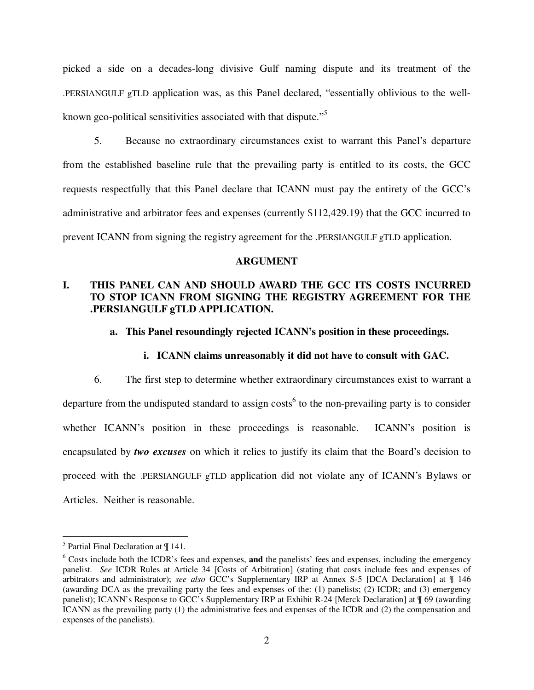picked a side on a decades-long divisive Gulf naming dispute and its treatment of the .PERSIANGULF gTLD application was, as this Panel declared, "essentially oblivious to the wellknown geo-political sensitivities associated with that dispute."<sup>5</sup>

5. Because no extraordinary circumstances exist to warrant this Panel's departure from the established baseline rule that the prevailing party is entitled to its costs, the GCC requests respectfully that this Panel declare that ICANN must pay the entirety of the GCC's administrative and arbitrator fees and expenses (currently \$112,429.19) that the GCC incurred to prevent ICANN from signing the registry agreement for the .PERSIANGULF gTLD application.

#### **ARGUMENT**

## **I. THIS PANEL CAN AND SHOULD AWARD THE GCC ITS COSTS INCURRED TO STOP ICANN FROM SIGNING THE REGISTRY AGREEMENT FOR THE .PERSIANGULF gTLD APPLICATION.**

#### **a. This Panel resoundingly rejected ICANN's position in these proceedings.**

#### **i. ICANN claims unreasonably it did not have to consult with GAC.**

6. The first step to determine whether extraordinary circumstances exist to warrant a departure from the undisputed standard to assign costs<sup>6</sup> to the non-prevailing party is to consider whether ICANN's position in these proceedings is reasonable. ICANN's position is encapsulated by *two excuses* on which it relies to justify its claim that the Board's decision to proceed with the .PERSIANGULF gTLD application did not violate any of ICANN's Bylaws or Articles. Neither is reasonable.

<sup>&</sup>lt;sup>5</sup> Partial Final Declaration at  $\P$  141.

<sup>6</sup> Costs include both the ICDR's fees and expenses, **and** the panelists' fees and expenses, including the emergency panelist. *See* ICDR Rules at Article 34 [Costs of Arbitration] (stating that costs include fees and expenses of arbitrators and administrator); *see also* GCC's Supplementary IRP at Annex S-5 [DCA Declaration] at ¶ 146 (awarding DCA as the prevailing party the fees and expenses of the: (1) panelists; (2) ICDR; and (3) emergency panelist); ICANN's Response to GCC's Supplementary IRP at Exhibit R-24 [Merck Declaration] at ¶ 69 (awarding ICANN as the prevailing party (1) the administrative fees and expenses of the ICDR and (2) the compensation and expenses of the panelists).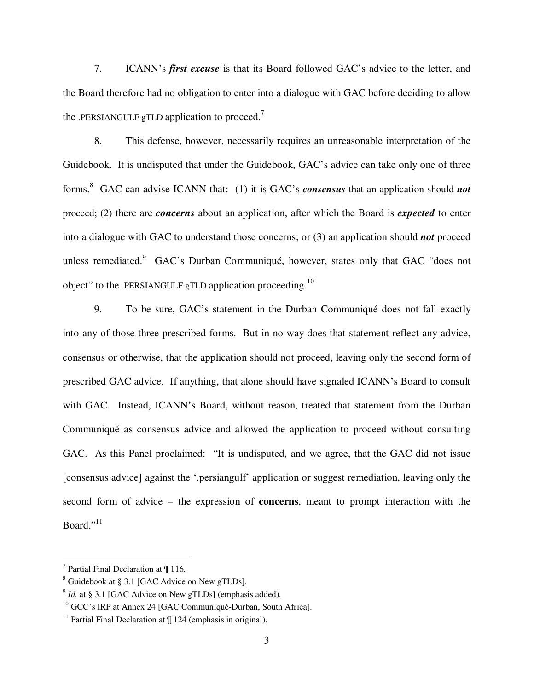7. ICANN's *first excuse* is that its Board followed GAC's advice to the letter, and the Board therefore had no obligation to enter into a dialogue with GAC before deciding to allow the .PERSIANGULF gTLD application to proceed.<sup>7</sup>

8. This defense, however, necessarily requires an unreasonable interpretation of the Guidebook. It is undisputed that under the Guidebook, GAC's advice can take only one of three forms.<sup>8</sup> GAC can advise ICANN that: (1) it is GAC's *consensus* that an application should *not*  proceed; (2) there are *concerns* about an application, after which the Board is *expected* to enter into a dialogue with GAC to understand those concerns; or (3) an application should *not* proceed unless remediated.<sup>9</sup> GAC's Durban Communiqué, however, states only that GAC "does not object" to the .PERSIANGULF gTLD application proceeding.<sup>10</sup>

9. To be sure, GAC's statement in the Durban Communiqué does not fall exactly into any of those three prescribed forms. But in no way does that statement reflect any advice, consensus or otherwise, that the application should not proceed, leaving only the second form of prescribed GAC advice. If anything, that alone should have signaled ICANN's Board to consult with GAC. Instead, ICANN's Board, without reason, treated that statement from the Durban Communiqué as consensus advice and allowed the application to proceed without consulting GAC. As this Panel proclaimed: "It is undisputed, and we agree, that the GAC did not issue [consensus advice] against the '.persiangulf' application or suggest remediation, leaving only the second form of advice – the expression of **concerns**, meant to prompt interaction with the Board." $^{11}$ 

<sup>7</sup> Partial Final Declaration at ¶ 116.

 $8$  Guidebook at § 3.1 [GAC Advice on New gTLDs].

 $9$  *Id.* at § 3.1 [GAC Advice on New gTLDs] (emphasis added).

<sup>&</sup>lt;sup>10</sup> GCC's IRP at Annex 24 [GAC Communiqué-Durban, South Africa].

<sup>&</sup>lt;sup>11</sup> Partial Final Declaration at  $\P$  124 (emphasis in original).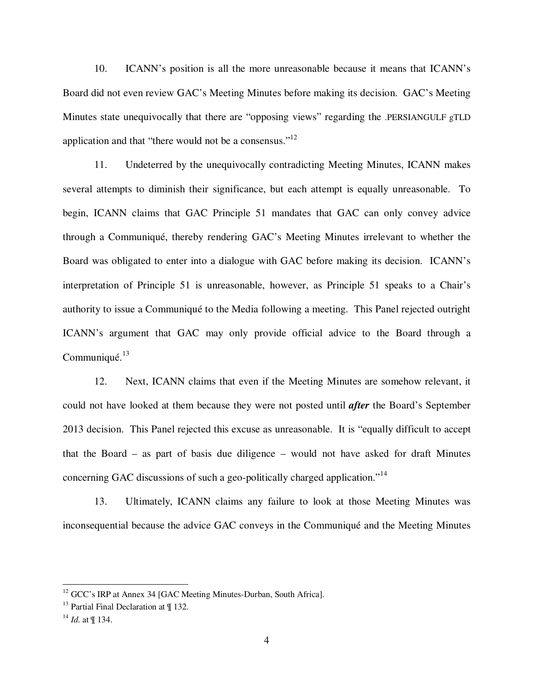10. ICANN's position is all the more unreasonable because it means that ICANN's Board did not even review GAC's Meeting Minutes before making its decision. GAC's Meeting Minutes state unequivocally that there are "opposing views" regarding the .PERSIANGULF gTLD application and that "there would not be a consensus."<sup>12</sup>

11. Undeterred by the unequivocally contradicting Meeting Minutes, ICANN makes several attempts to diminish their significance, but each attempt is equally unreasonable. To begin, ICANN claims that GAC Principle 51 mandates that GAC can only convey advice through a Communiqué, thereby rendering GAC's Meeting Minutes irrelevant to whether the Board was obligated to enter into a dialogue with GAC before making its decision. ICANN's interpretation of Principle 51 is unreasonable, however, as Principle 51 speaks to a Chair's authority to issue a Communiqué to the Media following a meeting. This Panel rejected outright ICANN's argument that GAC may only provide official advice to the Board through a Communiqué.<sup>13</sup>

12. Next, ICANN claims that even if the Meeting Minutes are somehow relevant, it could not have looked at them because they were not posted until *after* the Board's September 2013 decision. This Panel rejected this excuse as unreasonable. It is "equally difficult to accept that the Board – as part of basis due diligence – would not have asked for draft Minutes concerning GAC discussions of such a geo-politically charged application.<sup>"14</sup>

13. Ultimately, ICANN claims any failure to look at those Meeting Minutes was inconsequential because the advice GAC conveys in the Communiqué and the Meeting Minutes

<sup>&</sup>lt;sup>12</sup> GCC's IRP at Annex 34 [GAC Meeting Minutes-Durban, South Africa].

 $13$  Partial Final Declaration at  $\P$  132.

 $14$  *Id.* at ¶ 134.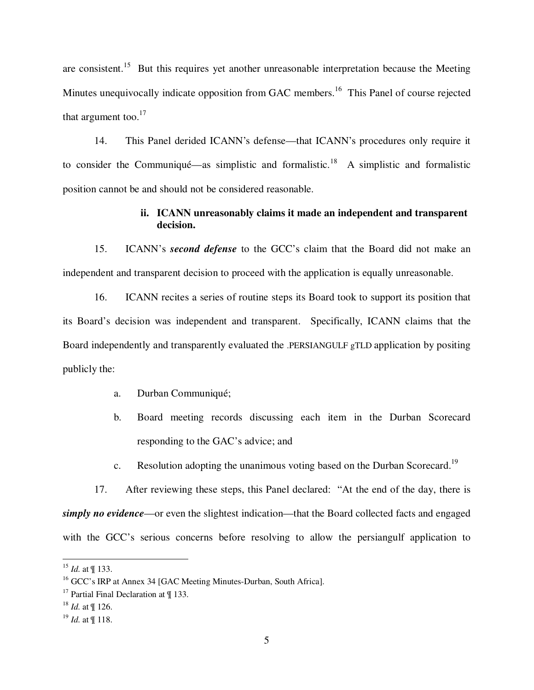are consistent.<sup>15</sup> But this requires yet another unreasonable interpretation because the Meeting Minutes unequivocally indicate opposition from GAC members.<sup>16</sup> This Panel of course rejected that argument too. $17$ 

14. This Panel derided ICANN's defense—that ICANN's procedures only require it to consider the Communiqué—as simplistic and formalistic.<sup>18</sup> A simplistic and formalistic position cannot be and should not be considered reasonable.

## **ii. ICANN unreasonably claims it made an independent and transparent decision.**

15. ICANN's *second defense* to the GCC's claim that the Board did not make an independent and transparent decision to proceed with the application is equally unreasonable.

16. ICANN recites a series of routine steps its Board took to support its position that its Board's decision was independent and transparent. Specifically, ICANN claims that the Board independently and transparently evaluated the .PERSIANGULF gTLD application by positing publicly the:

- a. Durban Communiqué;
- b. Board meeting records discussing each item in the Durban Scorecard responding to the GAC's advice; and
- c. Resolution adopting the unanimous voting based on the Durban Scorecard.<sup>19</sup>

17. After reviewing these steps, this Panel declared: "At the end of the day, there is *simply no evidence*—or even the slightest indication—that the Board collected facts and engaged with the GCC's serious concerns before resolving to allow the persiangulf application to

<u>.</u>

<sup>15</sup> *Id.* at ¶ 133.

<sup>&</sup>lt;sup>16</sup> GCC's IRP at Annex 34 [GAC Meeting Minutes-Durban, South Africa].

<sup>&</sup>lt;sup>17</sup> Partial Final Declaration at  $\P$  133.

<sup>18</sup> *Id.* at ¶ 126.

<sup>19</sup> *Id.* at ¶ 118.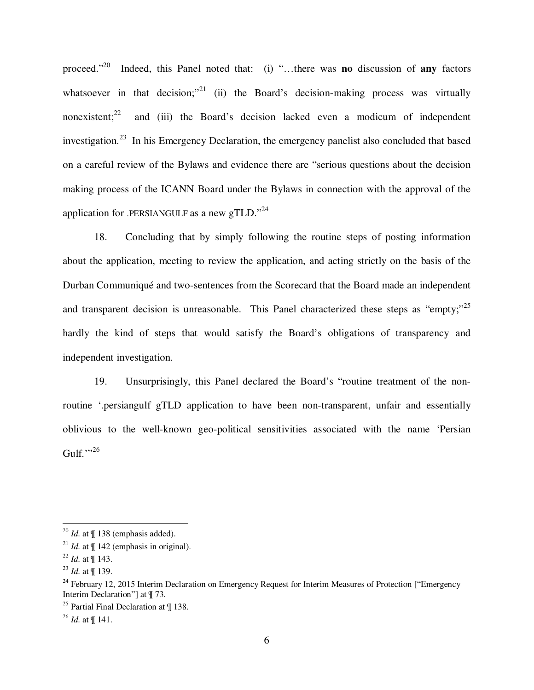proceed."<sup>20</sup> Indeed, this Panel noted that: (i) "…there was **no** discussion of **any** factors whatsoever in that decision; $v^{21}$  (ii) the Board's decision-making process was virtually nonexistent; $^{22}$  and (iii) the Board's decision lacked even a modicum of independent investigation.<sup>23</sup> In his Emergency Declaration, the emergency panelist also concluded that based on a careful review of the Bylaws and evidence there are "serious questions about the decision making process of the ICANN Board under the Bylaws in connection with the approval of the application for .PERSIANGULF as a new gTLD."<sup>24</sup>

18. Concluding that by simply following the routine steps of posting information about the application, meeting to review the application, and acting strictly on the basis of the Durban Communiqué and two-sentences from the Scorecard that the Board made an independent and transparent decision is unreasonable. This Panel characterized these steps as "empty;"<sup>25</sup> hardly the kind of steps that would satisfy the Board's obligations of transparency and independent investigation.

19. Unsurprisingly, this Panel declared the Board's "routine treatment of the nonroutine '.persiangulf gTLD application to have been non-transparent, unfair and essentially oblivious to the well-known geo-political sensitivities associated with the name 'Persian Gulf.'" $^{26}$ 

 $^{20}$  *Id.* at  $\parallel$  138 (emphasis added).

<sup>&</sup>lt;sup>21</sup> *Id.* at  $\P$  142 (emphasis in original).

<sup>22</sup> *Id.* at ¶ 143.

<sup>23</sup> *Id.* at ¶ 139.

<sup>&</sup>lt;sup>24</sup> February 12, 2015 Interim Declaration on Emergency Request for Interim Measures of Protection ["Emergency Interim Declaration"] at ¶ 73.

<sup>&</sup>lt;sup>25</sup> Partial Final Declaration at  $\P$  138.

<sup>26</sup> *Id.* at ¶ 141.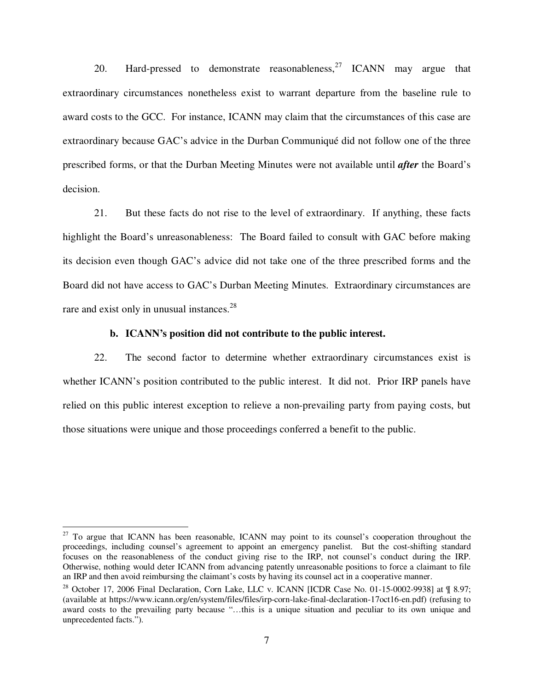20. Hard-pressed to demonstrate reasonableness,  $27$  ICANN may argue that extraordinary circumstances nonetheless exist to warrant departure from the baseline rule to award costs to the GCC. For instance, ICANN may claim that the circumstances of this case are extraordinary because GAC's advice in the Durban Communiqué did not follow one of the three prescribed forms, or that the Durban Meeting Minutes were not available until *after* the Board's decision.

21. But these facts do not rise to the level of extraordinary. If anything, these facts highlight the Board's unreasonableness: The Board failed to consult with GAC before making its decision even though GAC's advice did not take one of the three prescribed forms and the Board did not have access to GAC's Durban Meeting Minutes. Extraordinary circumstances are rare and exist only in unusual instances.<sup>28</sup>

#### **b. ICANN's position did not contribute to the public interest.**

22. The second factor to determine whether extraordinary circumstances exist is whether ICANN's position contributed to the public interest. It did not. Prior IRP panels have relied on this public interest exception to relieve a non-prevailing party from paying costs, but those situations were unique and those proceedings conferred a benefit to the public.

-

 $27$  To argue that ICANN has been reasonable, ICANN may point to its counsel's cooperation throughout the proceedings, including counsel's agreement to appoint an emergency panelist. But the cost-shifting standard focuses on the reasonableness of the conduct giving rise to the IRP, not counsel's conduct during the IRP. Otherwise, nothing would deter ICANN from advancing patently unreasonable positions to force a claimant to file an IRP and then avoid reimbursing the claimant's costs by having its counsel act in a cooperative manner.

<sup>&</sup>lt;sup>28</sup> October 17, 2006 Final Declaration, Corn Lake, LLC v. ICANN [ICDR Case No. 01-15-0002-9938] at ¶ 8.97; (available at https://www.icann.org/en/system/files/files/irp-corn-lake-final-declaration-17oct16-en.pdf) (refusing to award costs to the prevailing party because "…this is a unique situation and peculiar to its own unique and unprecedented facts.").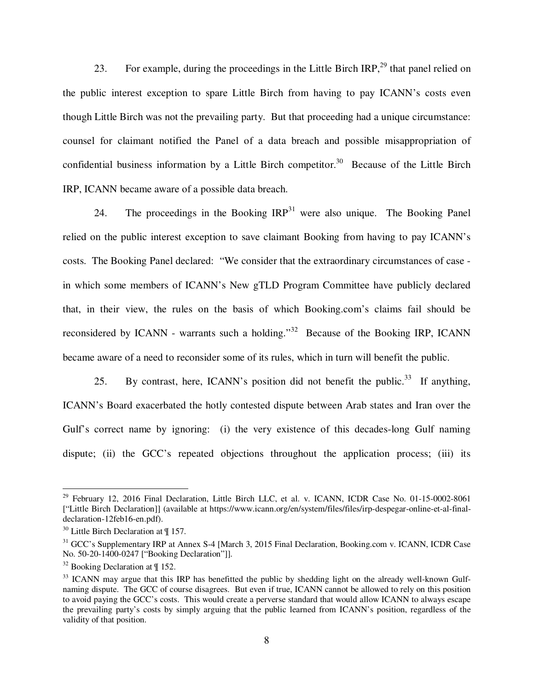23. For example, during the proceedings in the Little Birch IRP.<sup>29</sup> that panel relied on the public interest exception to spare Little Birch from having to pay ICANN's costs even though Little Birch was not the prevailing party. But that proceeding had a unique circumstance: counsel for claimant notified the Panel of a data breach and possible misappropriation of confidential business information by a Little Birch competitor.<sup>30</sup> Because of the Little Birch IRP, ICANN became aware of a possible data breach.

24. The proceedings in the Booking  $IRP<sup>31</sup>$  were also unique. The Booking Panel relied on the public interest exception to save claimant Booking from having to pay ICANN's costs. The Booking Panel declared: "We consider that the extraordinary circumstances of case in which some members of ICANN's New gTLD Program Committee have publicly declared that, in their view, the rules on the basis of which Booking.com's claims fail should be reconsidered by ICANN - warrants such a holding."<sup>32</sup> Because of the Booking IRP, ICANN became aware of a need to reconsider some of its rules, which in turn will benefit the public.

25. By contrast, here, ICANN's position did not benefit the public.<sup>33</sup> If anything, ICANN's Board exacerbated the hotly contested dispute between Arab states and Iran over the Gulf's correct name by ignoring: (i) the very existence of this decades-long Gulf naming dispute; (ii) the GCC's repeated objections throughout the application process; (iii) its

-

 $29$  February 12, 2016 Final Declaration, Little Birch LLC, et al. v. ICANN, ICDR Case No. 01-15-0002-8061 ["Little Birch Declaration]] (available at https://www.icann.org/en/system/files/files/irp-despegar-online-et-al-finaldeclaration-12feb16-en.pdf).

 $30$  Little Birch Declaration at  $\P$  157.

<sup>&</sup>lt;sup>31</sup> GCC's Supplementary IRP at Annex S-4 [March 3, 2015 Final Declaration, Booking.com v. ICANN, ICDR Case No. 50-20-1400-0247 ["Booking Declaration"]].

 $32$  Booking Declaration at  $\P$  152.

<sup>&</sup>lt;sup>33</sup> ICANN may argue that this IRP has benefitted the public by shedding light on the already well-known Gulfnaming dispute. The GCC of course disagrees. But even if true, ICANN cannot be allowed to rely on this position to avoid paying the GCC's costs. This would create a perverse standard that would allow ICANN to always escape the prevailing party's costs by simply arguing that the public learned from ICANN's position, regardless of the validity of that position.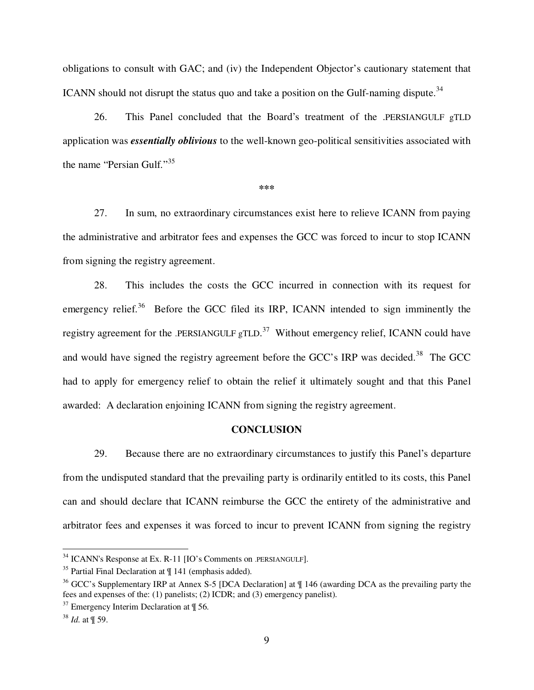obligations to consult with GAC; and (iv) the Independent Objector's cautionary statement that ICANN should not disrupt the status quo and take a position on the Gulf-naming dispute.<sup>34</sup>

26. This Panel concluded that the Board's treatment of the .PERSIANGULF gTLD application was *essentially oblivious* to the well-known geo-political sensitivities associated with the name "Persian Gulf."<sup>35</sup>

**\*\*\***

27. In sum, no extraordinary circumstances exist here to relieve ICANN from paying the administrative and arbitrator fees and expenses the GCC was forced to incur to stop ICANN from signing the registry agreement.

28. This includes the costs the GCC incurred in connection with its request for emergency relief.<sup>36</sup> Before the GCC filed its IRP, ICANN intended to sign imminently the registry agreement for the .PERSIANGULF  $gTLD$ .<sup>37</sup> Without emergency relief, ICANN could have and would have signed the registry agreement before the GCC's IRP was decided.<sup>38</sup> The GCC had to apply for emergency relief to obtain the relief it ultimately sought and that this Panel awarded: A declaration enjoining ICANN from signing the registry agreement.

### **CONCLUSION**

29. Because there are no extraordinary circumstances to justify this Panel's departure from the undisputed standard that the prevailing party is ordinarily entitled to its costs, this Panel can and should declare that ICANN reimburse the GCC the entirety of the administrative and arbitrator fees and expenses it was forced to incur to prevent ICANN from signing the registry

 $34$  ICANN's Response at Ex. R-11 [IO's Comments on .PERSIANGULF].

 $35$  Partial Final Declaration at  $\P$  141 (emphasis added).

<sup>&</sup>lt;sup>36</sup> GCC's Supplementary IRP at Annex S-5 [DCA Declaration] at  $\parallel$  146 (awarding DCA as the prevailing party the fees and expenses of the: (1) panelists; (2) ICDR; and (3) emergency panelist).

 $37$  Emergency Interim Declaration at  $\P$  56.

<sup>38</sup> *Id.* at ¶ 59.